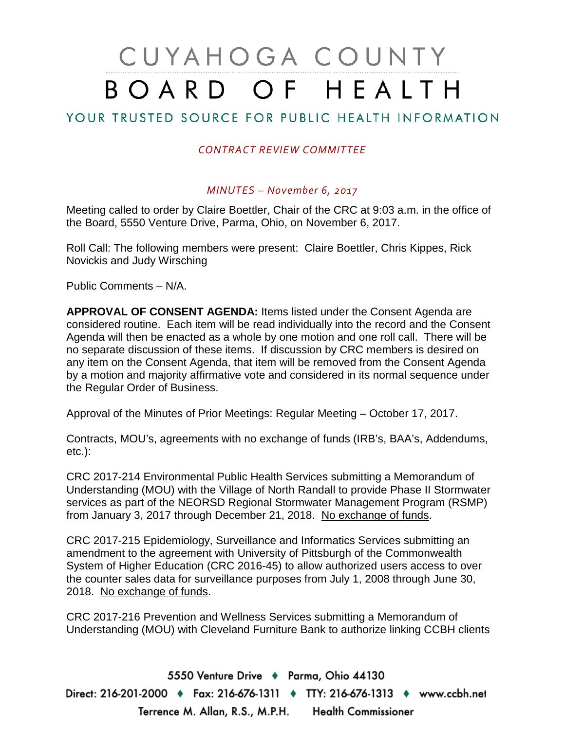# CUYAHOGA COUNTY BOARD OF HEALTH

## YOUR TRUSTED SOURCE FOR PUBLIC HEALTH INFORMATION

#### *CONTRACT REVIEW COMMITTEE*

#### *MINUTES – November 6, 2017*

Meeting called to order by Claire Boettler, Chair of the CRC at 9:03 a.m. in the office of the Board, 5550 Venture Drive, Parma, Ohio, on November 6, 2017.

Roll Call: The following members were present: Claire Boettler, Chris Kippes, Rick Novickis and Judy Wirsching

Public Comments – N/A.

**APPROVAL OF CONSENT AGENDA:** Items listed under the Consent Agenda are considered routine. Each item will be read individually into the record and the Consent Agenda will then be enacted as a whole by one motion and one roll call. There will be no separate discussion of these items. If discussion by CRC members is desired on any item on the Consent Agenda, that item will be removed from the Consent Agenda by a motion and majority affirmative vote and considered in its normal sequence under the Regular Order of Business.

Approval of the Minutes of Prior Meetings: Regular Meeting – October 17, 2017.

Contracts, MOU's, agreements with no exchange of funds (IRB's, BAA's, Addendums, etc.):

CRC 2017-214 Environmental Public Health Services submitting a Memorandum of Understanding (MOU) with the Village of North Randall to provide Phase II Stormwater services as part of the NEORSD Regional Stormwater Management Program (RSMP) from January 3, 2017 through December 21, 2018. No exchange of funds.

CRC 2017-215 Epidemiology, Surveillance and Informatics Services submitting an amendment to the agreement with University of Pittsburgh of the Commonwealth System of Higher Education (CRC 2016-45) to allow authorized users access to over the counter sales data for surveillance purposes from July 1, 2008 through June 30, 2018. No exchange of funds.

CRC 2017-216 Prevention and Wellness Services submitting a Memorandum of Understanding (MOU) with Cleveland Furniture Bank to authorize linking CCBH clients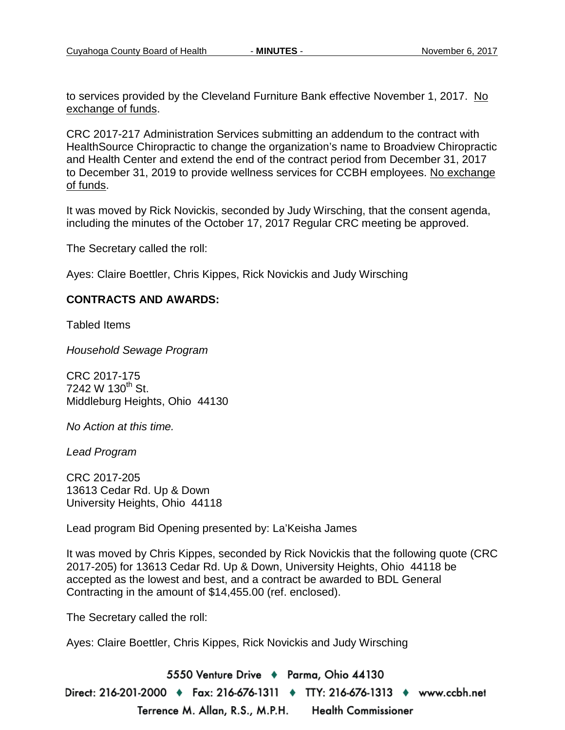to services provided by the Cleveland Furniture Bank effective November 1, 2017. No exchange of funds.

CRC 2017-217 Administration Services submitting an addendum to the contract with HealthSource Chiropractic to change the organization's name to Broadview Chiropractic and Health Center and extend the end of the contract period from December 31, 2017 to December 31, 2019 to provide wellness services for CCBH employees. No exchange of funds.

It was moved by Rick Novickis, seconded by Judy Wirsching, that the consent agenda, including the minutes of the October 17, 2017 Regular CRC meeting be approved.

The Secretary called the roll:

Ayes: Claire Boettler, Chris Kippes, Rick Novickis and Judy Wirsching

#### **CONTRACTS AND AWARDS:**

Tabled Items

*Household Sewage Program*

CRC 2017-175 7242 W  $130^{th}$  St. Middleburg Heights, Ohio 44130

*No Action at this time.*

*Lead Program* 

CRC 2017-205 13613 Cedar Rd. Up & Down University Heights, Ohio 44118

Lead program Bid Opening presented by: La'Keisha James

It was moved by Chris Kippes, seconded by Rick Novickis that the following quote (CRC 2017-205) for 13613 Cedar Rd. Up & Down, University Heights, Ohio 44118 be accepted as the lowest and best, and a contract be awarded to BDL General Contracting in the amount of \$14,455.00 (ref. enclosed).

The Secretary called the roll:

Ayes: Claire Boettler, Chris Kippes, Rick Novickis and Judy Wirsching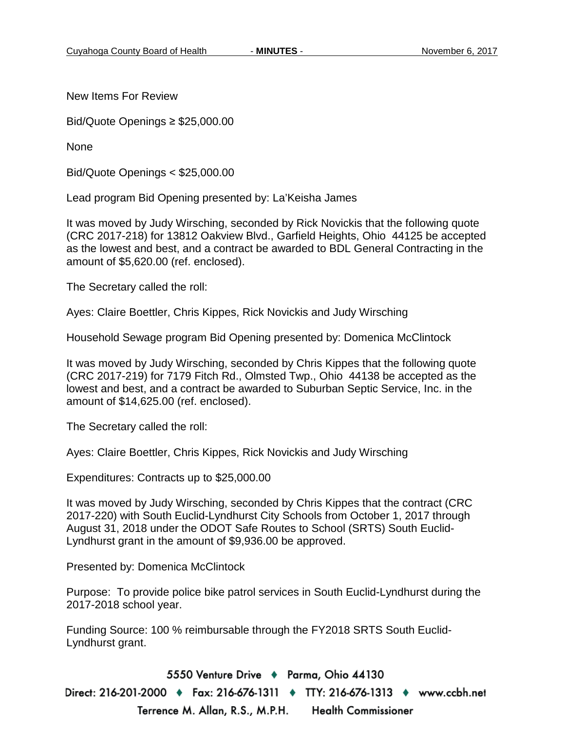New Items For Review

Bid/Quote Openings ≥ \$25,000.00

None

Bid/Quote Openings < \$25,000.00

Lead program Bid Opening presented by: La'Keisha James

It was moved by Judy Wirsching, seconded by Rick Novickis that the following quote (CRC 2017-218) for 13812 Oakview Blvd., Garfield Heights, Ohio 44125 be accepted as the lowest and best, and a contract be awarded to BDL General Contracting in the amount of \$5,620.00 (ref. enclosed).

The Secretary called the roll:

Ayes: Claire Boettler, Chris Kippes, Rick Novickis and Judy Wirsching

Household Sewage program Bid Opening presented by: Domenica McClintock

It was moved by Judy Wirsching, seconded by Chris Kippes that the following quote (CRC 2017-219) for 7179 Fitch Rd., Olmsted Twp., Ohio 44138 be accepted as the lowest and best, and a contract be awarded to Suburban Septic Service, Inc. in the amount of \$14,625.00 (ref. enclosed).

The Secretary called the roll:

Ayes: Claire Boettler, Chris Kippes, Rick Novickis and Judy Wirsching

Expenditures: Contracts up to \$25,000.00

It was moved by Judy Wirsching, seconded by Chris Kippes that the contract (CRC 2017-220) with South Euclid-Lyndhurst City Schools from October 1, 2017 through August 31, 2018 under the ODOT Safe Routes to School (SRTS) South Euclid-Lyndhurst grant in the amount of \$9,936.00 be approved.

Presented by: Domenica McClintock

Purpose: To provide police bike patrol services in South Euclid-Lyndhurst during the 2017-2018 school year.

Funding Source: 100 % reimbursable through the FY2018 SRTS South Euclid-Lyndhurst grant.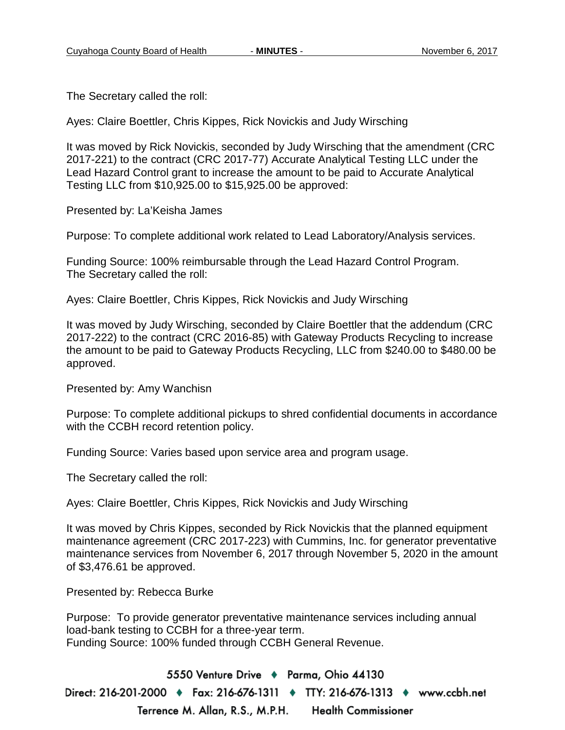The Secretary called the roll:

Ayes: Claire Boettler, Chris Kippes, Rick Novickis and Judy Wirsching

It was moved by Rick Novickis, seconded by Judy Wirsching that the amendment (CRC 2017-221) to the contract (CRC 2017-77) Accurate Analytical Testing LLC under the Lead Hazard Control grant to increase the amount to be paid to Accurate Analytical Testing LLC from \$10,925.00 to \$15,925.00 be approved:

Presented by: La'Keisha James

Purpose: To complete additional work related to Lead Laboratory/Analysis services.

Funding Source: 100% reimbursable through the Lead Hazard Control Program. The Secretary called the roll:

Ayes: Claire Boettler, Chris Kippes, Rick Novickis and Judy Wirsching

It was moved by Judy Wirsching, seconded by Claire Boettler that the addendum (CRC 2017-222) to the contract (CRC 2016-85) with Gateway Products Recycling to increase the amount to be paid to Gateway Products Recycling, LLC from \$240.00 to \$480.00 be approved.

Presented by: Amy Wanchisn

Purpose: To complete additional pickups to shred confidential documents in accordance with the CCBH record retention policy.

Funding Source: Varies based upon service area and program usage.

The Secretary called the roll:

Ayes: Claire Boettler, Chris Kippes, Rick Novickis and Judy Wirsching

It was moved by Chris Kippes, seconded by Rick Novickis that the planned equipment maintenance agreement (CRC 2017-223) with Cummins, Inc. for generator preventative maintenance services from November 6, 2017 through November 5, 2020 in the amount of \$3,476.61 be approved.

Presented by: Rebecca Burke

Purpose: To provide generator preventative maintenance services including annual load-bank testing to CCBH for a three-year term. Funding Source: 100% funded through CCBH General Revenue.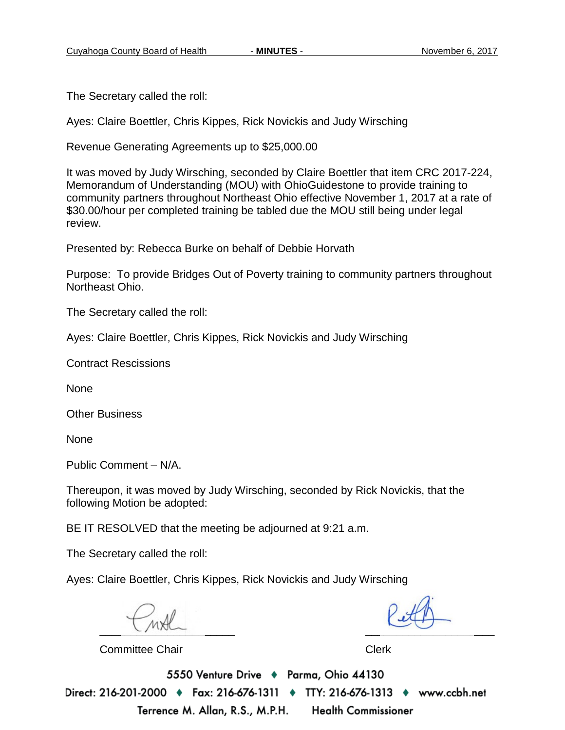The Secretary called the roll:

Ayes: Claire Boettler, Chris Kippes, Rick Novickis and Judy Wirsching

Revenue Generating Agreements up to \$25,000.00

It was moved by Judy Wirsching, seconded by Claire Boettler that item CRC 2017-224, Memorandum of Understanding (MOU) with OhioGuidestone to provide training to community partners throughout Northeast Ohio effective November 1, 2017 at a rate of \$30.00/hour per completed training be tabled due the MOU still being under legal review.

Presented by: Rebecca Burke on behalf of Debbie Horvath

Purpose: To provide Bridges Out of Poverty training to community partners throughout Northeast Ohio.

The Secretary called the roll:

Ayes: Claire Boettler, Chris Kippes, Rick Novickis and Judy Wirsching

Contract Rescissions

None

Other Business

None

Public Comment – N/A.

Thereupon, it was moved by Judy Wirsching, seconded by Rick Novickis, that the following Motion be adopted:

BE IT RESOLVED that the meeting be adjourned at 9:21 a.m.

The Secretary called the roll:

Ayes: Claire Boettler, Chris Kippes, Rick Novickis and Judy Wirsching

 $\sim$ 

Committee Chair **Clerk** Clerk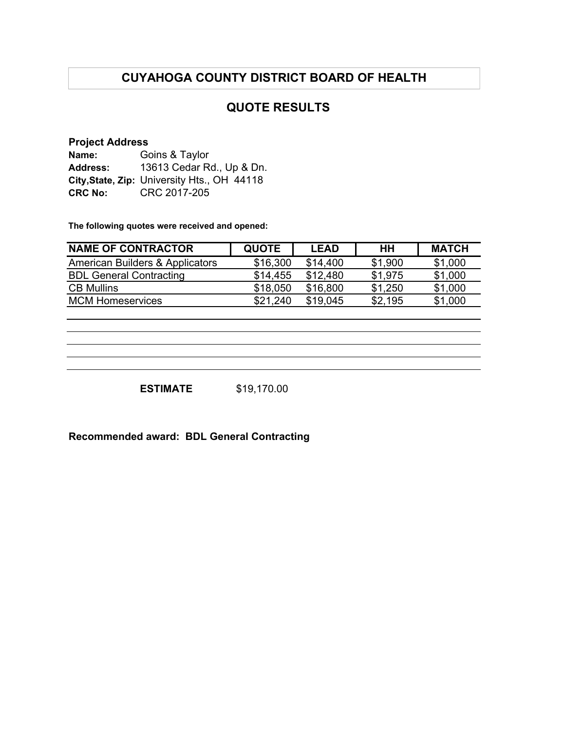# **CUYAHOGA COUNTY DISTRICT BOARD OF HEALTH**

### **QUOTE RESULTS**

#### **Project Address**

| Name:           | Goins & Taylor                              |  |  |  |
|-----------------|---------------------------------------------|--|--|--|
| <b>Address:</b> | 13613 Cedar Rd., Up & Dn.                   |  |  |  |
|                 | City, State, Zip: University Hts., OH 44118 |  |  |  |
| <b>CRC No:</b>  | CRC 2017-205                                |  |  |  |

**The following quotes were received and opened:**

| <b>NAME OF CONTRACTOR</b>       | <b>QUOTE</b> | <b>LEAD</b> | HH      | <b>MATCH</b> |
|---------------------------------|--------------|-------------|---------|--------------|
| American Builders & Applicators | \$16,300     | \$14,400    | \$1,900 | \$1,000      |
| <b>BDL General Contracting</b>  | \$14.455     | \$12.480    | \$1.975 | \$1,000      |
| <b>CB Mullins</b>               | \$18,050     | \$16,800    | \$1.250 | \$1,000      |
| <b>MCM Homeservices</b>         | \$21.240     | \$19.045    | \$2.195 | \$1,000      |

**ESTIMATE** \$19,170.00

**Recommended award: BDL General Contracting**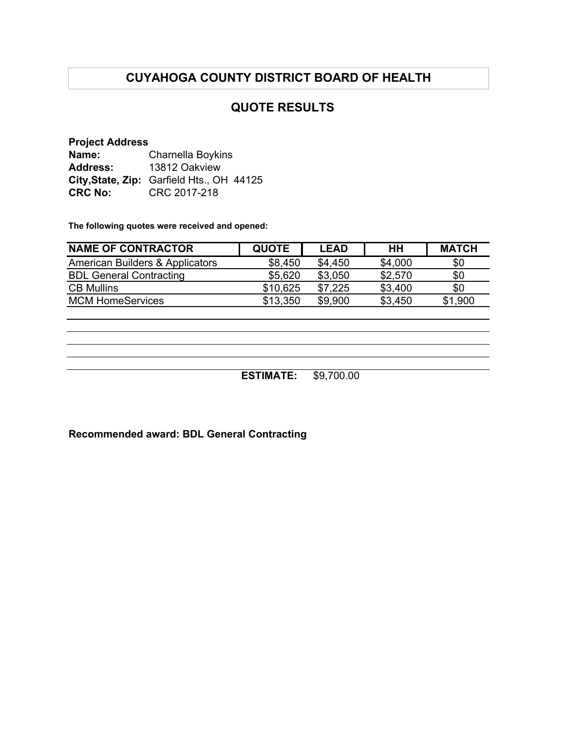# **CUYAHOGA COUNTY DISTRICT BOARD OF HEALTH**

### **QUOTE RESULTS**

**Project Address Name: Address: City,State, Zip:** Garfield Hts., OH 44125 **CRC No:**  Charnella Boykins 13812 Oakview CRC 2017-218

**The following quotes were received and opened:**

| <b>NAME OF CONTRACTOR</b>                  | <b>QUOTE</b> | <b>LEAD</b> | HH      | <b>MATCH</b> |
|--------------------------------------------|--------------|-------------|---------|--------------|
| <b>American Builders &amp; Applicators</b> | \$8.450      | \$4.450     | \$4,000 | \$0          |
| <b>BDL General Contracting</b>             | \$5,620      | \$3.050     | \$2,570 | \$0          |
| <b>CB Mullins</b>                          | \$10,625     | \$7.225     | \$3.400 | \$0          |
| <b>MCM HomeServices</b>                    | \$13,350     | \$9,900     | \$3,450 | \$1,900      |

**ESTIMATE:** \$9,700.00

**Recommended award: BDL General Contracting**